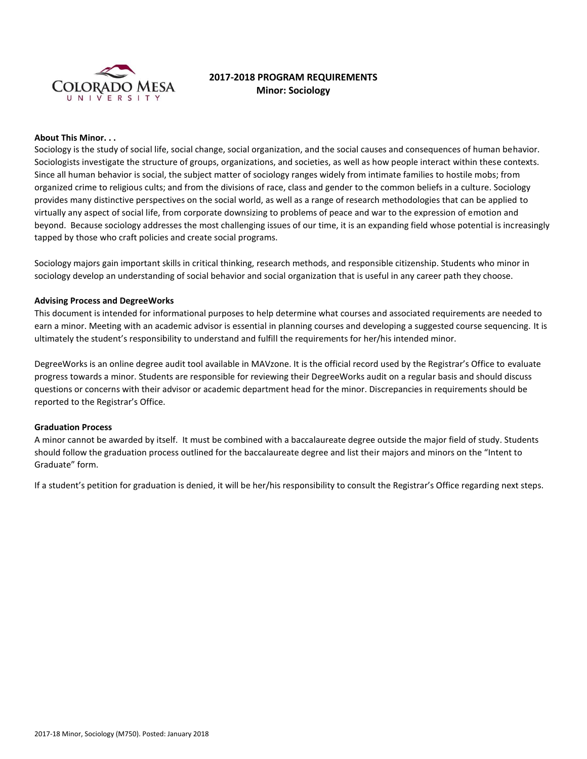

# **2017-2018 PROGRAM REQUIREMENTS Minor: Sociology**

## **About This Minor. . .**

Sociology is the study of social life, social change, social organization, and the social causes and consequences of human behavior. Sociologists investigate the structure of groups, organizations, and societies, as well as how people interact within these contexts. Since all human behavior is social, the subject matter of sociology ranges widely from intimate families to hostile mobs; from organized crime to religious cults; and from the divisions of race, class and gender to the common beliefs in a culture. Sociology provides many distinctive perspectives on the social world, as well as a range of research methodologies that can be applied to virtually any aspect of social life, from corporate downsizing to problems of peace and war to the expression of emotion and beyond. Because sociology addresses the most challenging issues of our time, it is an expanding field whose potential is increasingly tapped by those who craft policies and create social programs.

Sociology majors gain important skills in critical thinking, research methods, and responsible citizenship. Students who minor in sociology develop an understanding of social behavior and social organization that is useful in any career path they choose.

## **Advising Process and DegreeWorks**

This document is intended for informational purposes to help determine what courses and associated requirements are needed to earn a minor. Meeting with an academic advisor is essential in planning courses and developing a suggested course sequencing. It is ultimately the student's responsibility to understand and fulfill the requirements for her/his intended minor.

DegreeWorks is an online degree audit tool available in MAVzone. It is the official record used by the Registrar's Office to evaluate progress towards a minor. Students are responsible for reviewing their DegreeWorks audit on a regular basis and should discuss questions or concerns with their advisor or academic department head for the minor. Discrepancies in requirements should be reported to the Registrar's Office.

#### **Graduation Process**

A minor cannot be awarded by itself. It must be combined with a baccalaureate degree outside the major field of study. Students should follow the graduation process outlined for the baccalaureate degree and list their majors and minors on the "Intent to Graduate" form.

If a student's petition for graduation is denied, it will be her/his responsibility to consult the Registrar's Office regarding next steps.